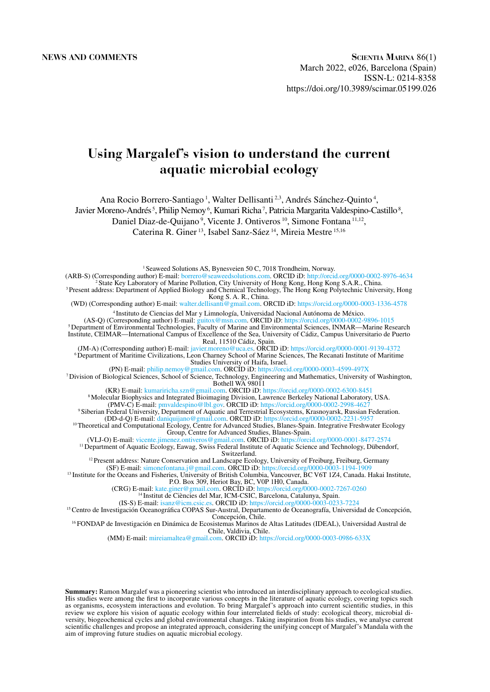# **Using Margalef's vision to understand the current aquatic microbial ecology**

Ana Rocio Borrero-Santiago 1, Walter Dellisanti 2,3, Andrés Sánchez-Quinto 4,

Javier Moreno-Andrés<sup>5</sup>, Philip Nemoy<sup>6</sup>, Kumari Richa<sup>7</sup>, Patricia Margarita Valdespino-Castillo<sup>8</sup>,

Daniel Diaz-de-Quijano<sup>9</sup>, Vicente J. Ontiveros<sup>10</sup>, Simone Fontana<sup>11,12</sup>,

Caterina R. Giner 13, Isabel Sanz-Sáez 14, Mireia Mestre 15,16

<sup>1</sup> Seaweed Solutions AS, Bynesveien 50 C, 7018 Trondheim, Norway. (ARB-S) (Corresponding author) E-mail: [borrero@seaweedsolutions.com](mailto:borrero@seaweedsolutions.com). ORCID iD:<http://orcid.org/0000-0002-8976-4634> 2 State Key Laboratory of Marine Pollution, City University of Hong Kong, Hong Kong S.A.R., China. 3 Present address: Department of Applied Biology and Chemical Technology, The Hong Kong Polytechnic University, Hong Kong S. A. R., China. (WD) (Corresponding author) E-mail: [walter.dellisanti@gmail.com.](mailto:walter.dellisanti@gmail.com) ORCID iD: <https://orcid.org/0000-0003-1336-4578> 4 Instituto de Ciencias del Mar y Limnología, Universidad Nacional Autónoma de México. (AS-Q) (Corresponding author) E-mail: [guitox@msn.com.](mailto:guitox@msn.com) ORCID iD: <https://orcid.org/0000-0002-9896-1015> 5 Department of Environmental Technologies, Faculty of Marine and Environmental Sciences, INMAR—Marine Research Institute, CEIMAR—International Campus of Excellence of the Sea, University of Cádiz, Campus Universitario de Puerto Real, 11510 Cádiz, Spain. (JM-A) (Corresponding author) E-mail: [javier.moreno@uca.es.](mailto:javier.moreno@uca.es) ORCID iD:<https://orcid.org/0000-0001-9139-4372> 6 Department of Maritime Civilizations, Leon Charney School of Marine Sciences, The Recanati Institute of Maritime Studies University of Haifa, Israel. (PN) E-mail: [philip.nemoy@gmail.com.](mailto:philip.nemoy@gmail.com) ORCID iD: <https://orcid.org/0000-0003-4599-497X> 7 Division of Biological Sciences, School of Science, Technology, Engineering and Mathematics, University of Washington, Bothell WA 98011 (KR) E-mail: [kumariricha.szn@gmail.com.](mailto:kumariricha.szn@gmail.com) ORCID iD: <https://orcid.org/0000-0002-6300-8451> 8 Molecular Biophysics and Integrated Bioimaging Division, Lawrence Berkeley National Laboratory, USA. (PMV-C) E-mail: [pmvaldespino@lbl.gov](mailto:pmvaldespino@lbl.gov). ORCID iD: <https://orcid.org/0000-0002-2998-4627> 9 Siberian Federal University, Department of Aquatic and Terrestrial Ecosystems, Krasnoyarsk, Russian Federation. (DD-d-Q) E-mail: [daniquijano@gmail.com.](mailto:daniquijano@gmail.com) ORCID iD: <https://orcid.org/0000-0002-2231-5957> 10 Theoretical and Computational Ecology, Centre for Advanced Studies, Blanes-Spain. Integrative Freshwater Ecology Group, Centre for Advanced Studies, Blanes-Spain. (VLJ-O) E-mail: [vicente.jimenez.ontiveros@gmail.com](mailto:vicente.jimenez.ontiveros@gmail.com). ORCID iD: <https://orcid.org/0000-0001-8477-2574> <sup>11</sup> Department of Aquatic Ecology, Eawag, Swiss Federal Institute of Aquatic Science and Technology, Dübendorf, Switzerland. <sup>12</sup> Present address: Nature Conservation and Landscape Ecology, University of Freiburg, Freiburg, Germany (SF) E-mail: [simonefontana.j@gmail.com.](mailto:simonefontana.j@gmail.com) ORCID iD: <https://orcid.org/0000-0003-1194-1909> <sup>13</sup> Institute for the Oceans and Fisheries, University of British Columbia, Vancouver, BC V6T 1Z4, Canada. Hakai Institute, P.O. Box 309, Heriot Bay, BC, V0P 1H0, Canada. (CRG) E-mail: [kate.giner@gmail.com](mailto:kate.giner@gmail.com). ORCID iD:<https://orcid.org/0000-0002-7267-0260> <sup>14</sup> Institut de Ciències del Mar, ICM-CSIC, Barcelona, Catalunya, Spain. (IS-S) E-mail: [isanz@icm.csic.es.](mailto:isanz@icm.csic.es) ORCID iD:<https://orcid.org/0000-0003-0233-7224> <sup>15</sup> Centro de Investigación Oceanográfica COPAS Sur-Austral, Departamento de Oceanográfia, Universidad de Concepción,<br>Concepción, Chile. <sup>16</sup> FONDAP de Investigación en Dinámica de Ecosistemas Marinos de Altas Latitudes (IDEAL), Universidad Austral de Chile, Valdivia, Chile. (MM) E-mail: [mireiamaltea@gmail.com.](mailto:mireiamaltea@gmail.com) ORCID iD:<https://orcid.org/0000-0003-0986-633X>

**Summary:** Ramon Margalef was a pioneering scientist who introduced an interdisciplinary approach to ecological studies. His studies were among the first to incorporate various concepts in the literature of aquatic ecology, covering topics such as organisms, ecosystem interactions and evolution. To bring Margalef's approach into current scientific studies, in this review we explore his vision of aquatic ecology within four interrelated fields of study: ecological theory, microbial diversity, biogeochemical cycles and global environmental changes. Taking inspiration from his studies, we analyse current scientific challenges and propose an integrated approach, considering the unifying concept of Margalef's Mandala with the aim of improving future studies on aquatic microbial ecology.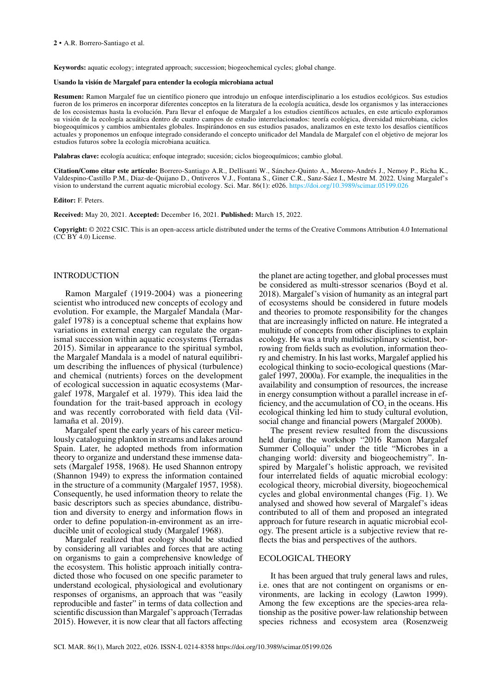**Keywords:** aquatic ecology; integrated approach; succession; biogeochemical cycles; global change.

#### **Usando la visión de Margalef para entender la ecología microbiana actual**

**Resumen:** Ramon Margalef fue un científico pionero que introdujo un enfoque interdisciplinario a los estudios ecológicos. Sus estudios fueron de los primeros en incorporar diferentes conceptos en la literatura de la ecología acuática, desde los organismos y las interacciones de los ecosistemas hasta la evolución. Para llevar el enfoque de Margalef a los estudios científicos actuales, en este articulo exploramos su visión de la ecología acuática dentro de cuatro campos de estudio interrelacionados: teoría ecológica, diversidad microbiana, ciclos biogeoquímicos y cambios ambientales globales. Inspirándonos en sus estudios pasados, analizamos en este texto los desafíos científicos actuales y proponemos un enfoque integrado considerando el concepto unificador del Mandala de Margalef con el objetivo de mejorar los estudios futuros sobre la ecología microbiana acuática.

**Palabras clave:** ecología acuática; enfoque integrado; sucesión; ciclos biogeoquímicos; cambio global.

**Citation/Como citar este artículo:** Borrero-Santiago A.R., Dellisanti W., Sánchez-Quinto A., Moreno-Andrés J., Nemoy P., Richa K., Valdespino-Castillo P.M., Diaz-de-Quijano D., Ontiveros V.J., Fontana S., Giner C.R., Sanz-Sáez I., Mestre M. 2022. Using Margalef's vision to understand the current aquatic microbial ecology. Sci. Mar. 86(1): e026. https://doi.[org/10.3989/scimar.05199.026](https://doi.org/10.3989/scimar.05199.026)

#### **Editor:** F. Peters.

**Received:** May 20, 2021. **Accepted:** December 16, 2021. **Published:** March 15, 2022.

**Copyright:** © 2022 CSIC. This is an open-access article distributed under the terms of the Creative Commons Attribution 4.0 International  $(C\tilde{C} BY 4.0)$  License.

# INTRODUCTION

Ramon Margalef (1919-2004) was a pioneering scientist who introduced new concepts of ecology and evolution. For example, the Margalef Mandala (Margalef 1978) is a conceptual scheme that explains how variations in external energy can regulate the organismal succession within aquatic ecosystems (Terradas 2015). Similar in appearance to the spiritual symbol, the Margalef Mandala is a model of natural equilibrium describing the influences of physical (turbulence) and chemical (nutrients) forces on the development of ecological succession in aquatic ecosystems (Margalef 1978, Margalef et al. 1979). This idea laid the foundation for the trait-based approach in ecology and was recently corroborated with field data (Villamaña et al. 2019).

Margalef spent the early years of his career meticulously cataloguing plankton in streams and lakes around Spain. Later, he adopted methods from information theory to organize and understand these immense datasets (Margalef 1958, 1968). He used Shannon entropy (Shannon 1949) to express the information contained in the structure of a community (Margalef 1957, 1958). Consequently, he used information theory to relate the basic descriptors such as species abundance, distribution and diversity to energy and information flows in order to define population-in-environment as an irreducible unit of ecological study (Margalef 1968).

Margalef realized that ecology should be studied by considering all variables and forces that are acting on organisms to gain a comprehensive knowledge of the ecosystem. This holistic approach initially contradicted those who focused on one specific parameter to understand ecological, physiological and evolutionary responses of organisms, an approach that was "easily reproducible and faster" in terms of data collection and scientific discussion than Margalef's approach (Terradas 2015). However, it is now clear that all factors affecting the planet are acting together, and global processes must be considered as multi-stressor scenarios (Boyd et al. 2018). Margalef's vision of humanity as an integral part of ecosystems should be considered in future models and theories to promote responsibility for the changes that are increasingly inflicted on nature. He integrated a multitude of concepts from other disciplines to explain ecology. He was a truly multidisciplinary scientist, borrowing from fields such as evolution, information theory and chemistry. In his last works, Margalef applied his ecological thinking to socio-ecological questions (Margalef 1997, 2000a). For example, the inequalities in the availability and consumption of resources, the increase in energy consumption without a parallel increase in efficiency, and the accumulation of  $CO<sub>2</sub>$  in the oceans. His ecological thinking led him to study cultural evolution, social change and financial powers (Margalef 2000b).

The present review resulted from the discussions held during the workshop "2016 Ramon Margalef Summer Colloquia" under the title "Microbes in a changing world: diversity and biogeochemistry". Inspired by Margalef's holistic approach, we revisited four interrelated fields of aquatic microbial ecology: ecological theory, microbial diversity, biogeochemical cycles and global environmental changes (Fig. 1). We analysed and showed how several of Margalef's ideas contributed to all of them and proposed an integrated approach for future research in aquatic microbial ecology. The present article is a subjective review that reflects the bias and perspectives of the authors.

#### ECOLOGICAL THEORY

It has been argued that truly general laws and rules, i.e. ones that are not contingent on organisms or environments, are lacking in ecology (Lawton 1999). Among the few exceptions are the species-area relationship as the positive power-law relationship between species richness and ecosystem area (Rosenzweig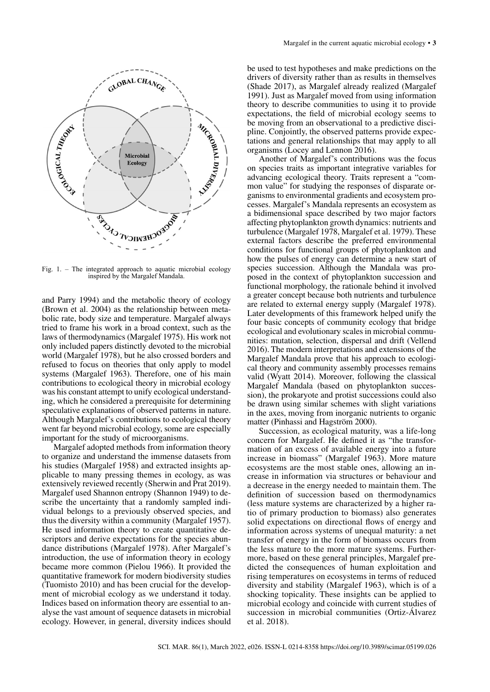

Fig. 1. – The integrated approach to aquatic microbial ecology inspired by the Margalef Mandala.

and Parry 1994) and the metabolic theory of ecology (Brown et al. 2004) as the relationship between metabolic rate, body size and temperature. Margalef always tried to frame his work in a broad context, such as the laws of thermodynamics (Margalef 1975). His work not only included papers distinctly devoted to the microbial world (Margalef 1978), but he also crossed borders and refused to focus on theories that only apply to model systems (Margalef 1963). Therefore, one of his main contributions to ecological theory in microbial ecology was his constant attempt to unify ecological understanding, which he considered a prerequisite for determining speculative explanations of observed patterns in nature. Although Margalef's contributions to ecological theory went far beyond microbial ecology, some are especially important for the study of microorganisms.

Margalef adopted methods from information theory to organize and understand the immense datasets from his studies (Margalef 1958) and extracted insights applicable to many pressing themes in ecology, as was extensively reviewed recently (Sherwin and Prat 2019). Margalef used Shannon entropy (Shannon 1949) to describe the uncertainty that a randomly sampled individual belongs to a previously observed species, and thus the diversity within a community (Margalef 1957). He used information theory to create quantitative descriptors and derive expectations for the species abundance distributions (Margalef 1978). After Margalef's introduction, the use of information theory in ecology became more common (Pielou 1966). It provided the quantitative framework for modern biodiversity studies (Tuomisto 2010) and has been crucial for the development of microbial ecology as we understand it today. Indices based on information theory are essential to analyse the vast amount of sequence datasets in microbial ecology. However, in general, diversity indices should

be used to test hypotheses and make predictions on the drivers of diversity rather than as results in themselves (Shade 2017), as Margalef already realized (Margalef 1991). Just as Margalef moved from using information theory to describe communities to using it to provide expectations, the field of microbial ecology seems to be moving from an observational to a predictive discipline. Conjointly, the observed patterns provide expectations and general relationships that may apply to all organisms (Locey and Lennon 2016).

Another of Margalef's contributions was the focus on species traits as important integrative variables for advancing ecological theory. Traits represent a "common value" for studying the responses of disparate organisms to environmental gradients and ecosystem processes. Margalef's Mandala represents an ecosystem as a bidimensional space described by two major factors affecting phytoplankton growth dynamics: nutrients and turbulence (Margalef 1978, Margalef et al. 1979). These external factors describe the preferred environmental conditions for functional groups of phytoplankton and how the pulses of energy can determine a new start of species succession. Although the Mandala was proposed in the context of phytoplankton succession and functional morphology, the rationale behind it involved a greater concept because both nutrients and turbulence are related to external energy supply (Margalef 1978). Later developments of this framework helped unify the four basic concepts of community ecology that bridge ecological and evolutionary scales in microbial communities: mutation, selection, dispersal and drift (Vellend 2016). The modern interpretations and extensions of the Margalef Mandala prove that his approach to ecological theory and community assembly processes remains valid (Wyatt 2014). Moreover, following the classical Margalef Mandala (based on phytoplankton succession), the prokaryote and protist successions could also be drawn using similar schemes with slight variations in the axes, moving from inorganic nutrients to organic matter (Pinhassi and Hagström 2000).

Succession, as ecological maturity, was a life-long concern for Margalef. He defined it as "the transformation of an excess of available energy into a future increase in biomass" (Margalef 1963). More mature ecosystems are the most stable ones, allowing an increase in information via structures or behaviour and a decrease in the energy needed to maintain them. The definition of succession based on thermodynamics (less mature systems are characterized by a higher ratio of primary production to biomass) also generates solid expectations on directional flows of energy and information across systems of unequal maturity: a net transfer of energy in the form of biomass occurs from the less mature to the more mature systems. Furthermore, based on these general principles, Margalef predicted the consequences of human exploitation and rising temperatures on ecosystems in terms of reduced diversity and stability (Margalef 1963), which is of a shocking topicality. These insights can be applied to microbial ecology and coincide with current studies of succession in microbial communities (Ortiz-Álvarez et al. 2018).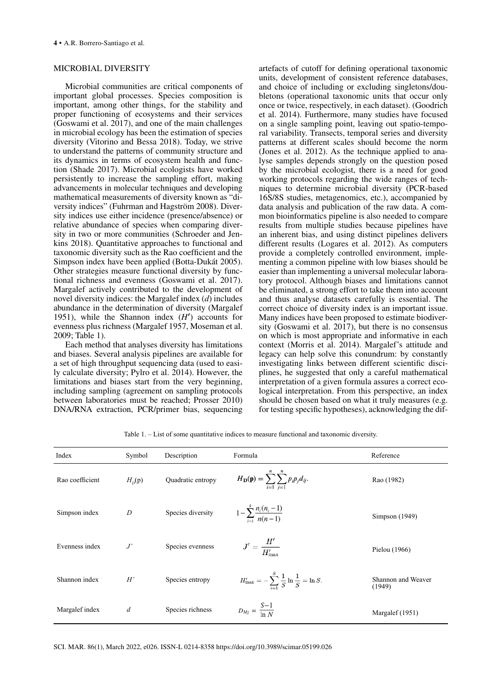# MICROBIAL DIVERSITY

Microbial communities are critical components of important global processes. Species composition is important, among other things, for the stability and proper functioning of ecosystems and their services (Goswami et al. 2017), and one of the main challenges in microbial ecology has been the estimation of species diversity (Vitorino and Bessa 2018). Today, we strive to understand the patterns of community structure and its dynamics in terms of ecosystem health and function (Shade 2017). Microbial ecologists have worked persistently to increase the sampling effort, making advancements in molecular techniques and developing mathematical measurements of diversity known as "diversity indices" (Fuhrman and Hagström 2008). Diversity indices use either incidence (presence/absence) or relative abundance of species when comparing diversity in two or more communities (Schroeder and Jenkins 2018). Quantitative approaches to functional and taxonomic diversity such as the Rao coefficient and the Simpson index have been applied (Botta-Dukát 2005). Other strategies measure functional diversity by functional richness and evenness (Goswami et al. 2017). Margalef actively contributed to the development of novel diversity indices: the Margalef index (*d*) includes abundance in the determination of diversity (Margalef 1951), while the Shannon index (*H*′) accounts for evenness plus richness (Margalef 1957, Moseman et al. 2009; Table 1).

Each method that analyses diversity has limitations and biases. Several analysis pipelines are available for a set of high throughput sequencing data (used to easily calculate diversity; Pylro et al. 2014). However, the limitations and biases start from the very beginning, including sampling (agreement on sampling protocols between laboratories must be reached; Prosser 2010) DNA/RNA extraction, PCR/primer bias, sequencing artefacts of cutoff for defining operational taxonomic units, development of consistent reference databases, and choice of including or excluding singletons/doubletons (operational taxonomic units that occur only once or twice, respectively, in each dataset). (Goodrich et al. 2014). Furthermore, many studies have focused on a single sampling point, leaving out spatio-temporal variability. Transects, temporal series and diversity patterns at different scales should become the norm (Jones et al. 2012). As the technique applied to analyse samples depends strongly on the question posed by the microbial ecologist, there is a need for good working protocols regarding the wide ranges of techniques to determine microbial diversity (PCR-based 16S/8S studies, metagenomics, etc.), accompanied by data analysis and publication of the raw data. A common bioinformatics pipeline is also needed to compare results from multiple studies because pipelines have an inherent bias, and using distinct pipelines delivers different results (Logares et al. 2012). As computers provide a completely controlled environment, implementing a common pipeline with low biases should be easier than implementing a universal molecular laboratory protocol. Although biases and limitations cannot be eliminated, a strong effort to take them into account and thus analyse datasets carefully is essential. The correct choice of diversity index is an important issue. Many indices have been proposed to estimate biodiversity (Goswami et al. 2017), but there is no consensus on which is most appropriate and informative in each context (Morris et al. 2014). Margalef's attitude and legacy can help solve this conundrum: by constantly investigating links between different scientific disciplines, he suggested that only a careful mathematical interpretation of a given formula assures a correct ecological interpretation. From this perspective, an index should be chosen based on what it truly measures (e.g. for testing specific hypotheses), acknowledging the dif-

| Index           | Symbol           | Description       | Formula                                                                          | Reference                    |
|-----------------|------------------|-------------------|----------------------------------------------------------------------------------|------------------------------|
| Rao coefficient | $H_{p}(p)$       | Quadratic entropy | $H_{\mathbf{D}}(\mathbf{p}) = \sum_{i=1}^{n} \sum_{j=1}^{n} p_{i} p_{j} d_{ij}.$ | Rao (1982)                   |
| Simpson index   | $\boldsymbol{D}$ | Species diversity | $1-\sum_{i=1}^k \frac{n_i(n_i-1)}{n(n-1)}$                                       | Simpson (1949)               |
| Evenness index  | J'               | Species evenness  | $J' = \frac{H'}{H'_{\rm max}}$                                                   | Pielou (1966)                |
| Shannon index   | H'               | Species entropy   | $H'_{\text{max}} = -\sum_{i=1}^{S} \frac{1}{S} \ln \frac{1}{S} = \ln S.$         | Shannon and Weaver<br>(1949) |
| Margalef index  | $\overline{d}$   | Species richness  | $D_{Mg} = \frac{S-1}{\ln N}$                                                     | Margalef (1951)              |

Table 1. – List of some quantitative indices to measure functional and taxonomic diversity.

SCI. MAR. 86(1), March 2022, e026. ISSN-L 0214-8358 https://doi.org/10.3989/scimar.05199.026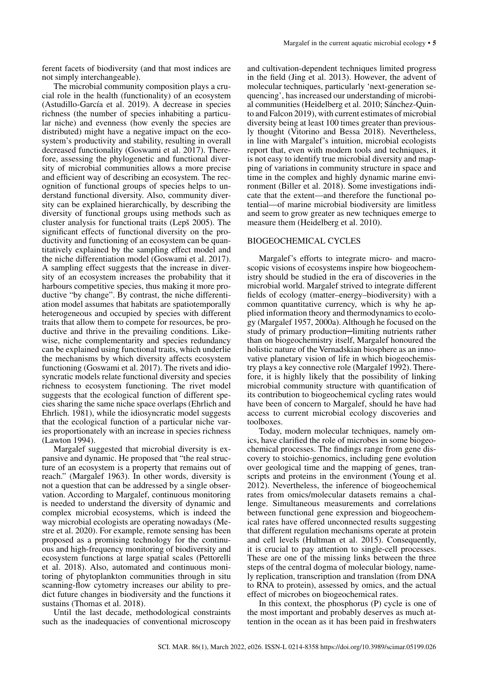ferent facets of biodiversity (and that most indices are not simply interchangeable).

The microbial community composition plays a crucial role in the health (functionality) of an ecosystem (Astudillo-García et al. 2019). A decrease in species richness (the number of species inhabiting a particular niche) and evenness (how evenly the species are distributed) might have a negative impact on the ecosystem's productivity and stability, resulting in overall decreased functionality (Goswami et al. 2017). Therefore, assessing the phylogenetic and functional diversity of microbial communities allows a more precise and efficient way of describing an ecosystem. The recognition of functional groups of species helps to understand functional diversity. Also, community diversity can be explained hierarchically, by describing the diversity of functional groups using methods such as cluster analysis for functional traits (Lepš 2005). The significant effects of functional diversity on the productivity and functioning of an ecosystem can be quantitatively explained by the sampling effect model and the niche differentiation model (Goswami et al. 2017). A sampling effect suggests that the increase in diversity of an ecosystem increases the probability that it harbours competitive species, thus making it more productive "by change". By contrast, the niche differentiation model assumes that habitats are spatiotemporally heterogeneous and occupied by species with different traits that allow them to compete for resources, be productive and thrive in the prevailing conditions. Likewise, niche complementarity and species redundancy can be explained using functional traits, which underlie the mechanisms by which diversity affects ecosystem functioning (Goswami et al. 2017). The rivets and idiosyncratic models relate functional diversity and species richness to ecosystem functioning. The rivet model suggests that the ecological function of different species sharing the same niche space overlaps (Ehrlich and Ehrlich. 1981), while the idiosyncratic model suggests that the ecological function of a particular niche varies proportionately with an increase in species richness (Lawton 1994).

Margalef suggested that microbial diversity is expansive and dynamic. He proposed that "the real structure of an ecosystem is a property that remains out of reach." (Margalef 1963). In other words, diversity is not a question that can be addressed by a single observation. According to Margalef, continuous monitoring is needed to understand the diversity of dynamic and complex microbial ecosystems, which is indeed the way microbial ecologists are operating nowadays (Mestre et al. 2020). For example, remote sensing has been proposed as a promising technology for the continuous and high-frequency monitoring of biodiversity and ecosystem functions at large spatial scales (Pettorelli et al. 2018). Also, automated and continuous monitoring of phytoplankton communities through in situ scanning-flow cytometry increases our ability to predict future changes in biodiversity and the functions it sustains (Thomas et al. 2018).

Until the last decade, methodological constraints such as the inadequacies of conventional microscopy

and cultivation-dependent techniques limited progress in the field (Jing et al. 2013). However, the advent of molecular techniques, particularly 'next-generation sequencing', has increased our understanding of microbial communities (Heidelberg et al. 2010; Sánchez-Quinto and Falcon 2019), with current estimates of microbial diversity being at least 100 times greater than previously thought (Vitorino and Bessa 2018). Nevertheless, in line with Margalef's intuition, microbial ecologists report that, even with modern tools and techniques, it is not easy to identify true microbial diversity and mapping of variations in community structure in space and time in the complex and highly dynamic marine environment (Biller et al. 2018). Some investigations indicate that the extent—and therefore the functional potential—of marine microbial biodiversity are limitless and seem to grow greater as new techniques emerge to measure them (Heidelberg et al. 2010).

## BIOGEOCHEMICAL CYCLES

Margalef's efforts to integrate micro- and macroscopic visions of ecosystems inspire how biogeochemistry should be studied in the era of discoveries in the microbial world. Margalef strived to integrate different fields of ecology (matter–energy–biodiversity) with a common quantitative currency, which is why he applied information theory and thermodynamics to ecology (Margalef 1957, 2000a). Although he focused on the study of primary production-limiting nutrients rather than on biogeochemistry itself, Margalef honoured the holistic nature of the Vernadskian biosphere as an innovative planetary vision of life in which biogeochemistry plays a key connective role (Margalef 1992). Therefore, it is highly likely that the possibility of linking microbial community structure with quantification of its contribution to biogeochemical cycling rates would have been of concern to Margalef, should he have had access to current microbial ecology discoveries and toolboxes.

Today, modern molecular techniques, namely omics, have clarified the role of microbes in some biogeochemical processes. The findings range from gene discovery to stoichio-genomics, including gene evolution over geological time and the mapping of genes, transcripts and proteins in the environment (Young et al. 2012). Nevertheless, the inference of biogeochemical rates from omics/molecular datasets remains a challenge. Simultaneous measurements and correlations between functional gene expression and biogeochemical rates have offered unconnected results suggesting that different regulation mechanisms operate at protein and cell levels (Hultman et al. 2015). Consequently, it is crucial to pay attention to single-cell processes. These are one of the missing links between the three steps of the central dogma of molecular biology, namely replication, transcription and translation (from DNA to RNA to protein), assessed by omics, and the actual effect of microbes on biogeochemical rates.

In this context, the phosphorus (P) cycle is one of the most important and probably deserves as much attention in the ocean as it has been paid in freshwaters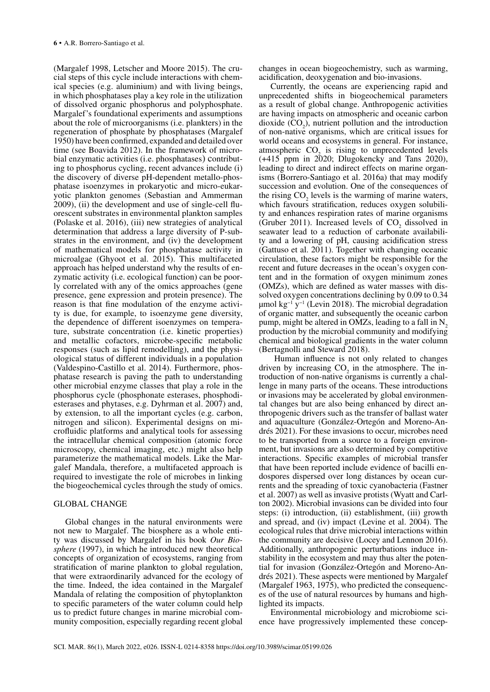(Margalef 1998, Letscher and Moore 2015). The crucial steps of this cycle include interactions with chemical species (e.g. aluminium) and with living beings, in which phosphatases play a key role in the utilization of dissolved organic phosphorus and polyphosphate. Margalef's foundational experiments and assumptions about the role of microorganisms (i.e. plankters) in the regeneration of phosphate by phosphatases (Margalef 1950) have been confirmed, expanded and detailed over time (see Boavida 2012). In the framework of microbial enzymatic activities (i.e. phosphatases) contributing to phosphorus cycling, recent advances include (i) the discovery of diverse pH-dependent metallo-phosphatase isoenzymes in prokaryotic and micro-eukaryotic plankton genomes (Sebastian and Ammerman 2009), (ii) the development and use of single-cell fluorescent substrates in environmental plankton samples (Polaske et al. 2016), (iii) new strategies of analytical determination that address a large diversity of P-substrates in the environment, and (iv) the development of mathematical models for phosphatase activity in microalgae (Ghyoot et al. 2015). This multifaceted approach has helped understand why the results of enzymatic activity (i.e. ecological function) can be poorly correlated with any of the omics approaches (gene presence, gene expression and protein presence). The reason is that fine modulation of the enzyme activity is due, for example, to isoenzyme gene diversity, the dependence of different isoenzymes on temperature, substrate concentration (i.e. kinetic properties) and metallic cofactors, microbe-specific metabolic responses (such as lipid remodelling), and the physiological status of different individuals in a population (Valdespino-Castillo et al. 2014). Furthermore, phosphatase research is paving the path to understanding other microbial enzyme classes that play a role in the phosphorus cycle (phosphonate esterases, phosphodiesterases and phytases, e.g. Dyhrman et al. 2007) and, by extension, to all the important cycles (e.g. carbon, nitrogen and silicon). Experimental designs on microfluidic platforms and analytical tools for assessing the intracellular chemical composition (atomic force microscopy, chemical imaging, etc.) might also help parameterize the mathematical models. Like the Margalef Mandala, therefore, a multifaceted approach is required to investigate the role of microbes in linking the biogeochemical cycles through the study of omics.

## GLOBAL CHANGE

Global changes in the natural environments were not new to Margalef. The biosphere as a whole entity was discussed by Margalef in his book *Our Biosphere* (1997), in which he introduced new theoretical concepts of organization of ecosystems, ranging from stratification of marine plankton to global regulation, that were extraordinarily advanced for the ecology of the time. Indeed, the idea contained in the Margalef Mandala of relating the composition of phytoplankton to specific parameters of the water column could help us to predict future changes in marine microbial community composition, especially regarding recent global

changes in ocean biogeochemistry, such as warming, acidification, deoxygenation and bio-invasions.

Currently, the oceans are experiencing rapid and unprecedented shifts in biogeochemical parameters as a result of global change. Anthropogenic activities are having impacts on atmospheric and oceanic carbon dioxide  $(CO_2)$ , nutrient pollution and the introduction of non-native organisms, which are critical issues for world oceans and ecosystems in general. For instance, atmospheric  $CO<sub>2</sub>$  is rising to unprecedented levels  $(+415)$  ppm in 2020; Dlugokencky and Tans 2020), leading to direct and indirect effects on marine organisms (Borrero-Santiago et al. 2016a) that may modify succession and evolution. One of the consequences of the rising  $CO<sub>2</sub>$  levels is the warming of marine waters, which favours stratification, reduces oxygen solubility and enhances respiration rates of marine organisms (Gruber 2011). Increased levels of  $CO<sub>2</sub>$  dissolved in seawater lead to a reduction of carbonate availability and a lowering of pH, causing acidification stress (Gattuso et al. 2011). Together with changing oceanic circulation, these factors might be responsible for the recent and future decreases in the ocean's oxygen content and in the formation of oxygen minimum zones (OMZs), which are defined as water masses with dissolved oxygen concentrations declining by 0.09 to 0.34 μmol kg−1 y−1 (Levin 2018). The microbial degradation of organic matter, and subsequently the oceanic carbon pump, might be altered in OMZs, leading to a fall in  $N<sub>2</sub>$ production by the microbial community and modifying chemical and biological gradients in the water column (Bertagnolli and Steward 2018).

 Human influence is not only related to changes driven by increasing  $CO<sub>2</sub>$  in the atmosphere. The introduction of non-native organisms is currently a challenge in many parts of the oceans. These introductions or invasions may be accelerated by global environmental changes but are also being enhanced by direct anthropogenic drivers such as the transfer of ballast water and aquaculture (González-Ortegón and Moreno-Andrés 2021). For these invasions to occur, microbes need to be transported from a source to a foreign environment, but invasions are also determined by competitive interactions. Specific examples of microbial transfer that have been reported include evidence of bacilli endospores dispersed over long distances by ocean currents and the spreading of toxic cyanobacteria (Fastner et al. 2007) as well as invasive protists (Wyatt and Carlton 2002). Microbial invasions can be divided into four steps: (i) introduction, (ii) establishment, (iii) growth and spread, and (iv) impact (Levine et al. 2004). The ecological rules that drive microbial interactions within the community are decisive (Locey and Lennon 2016). Additionally, anthropogenic perturbations induce instability in the ecosystem and may thus alter the potential for invasion (González-Ortegón and Moreno-Andrés 2021). These aspects were mentioned by Margalef (Margalef 1963, 1975), who predicted the consequences of the use of natural resources by humans and highlighted its impacts.

Environmental microbiology and microbiome science have progressively implemented these concep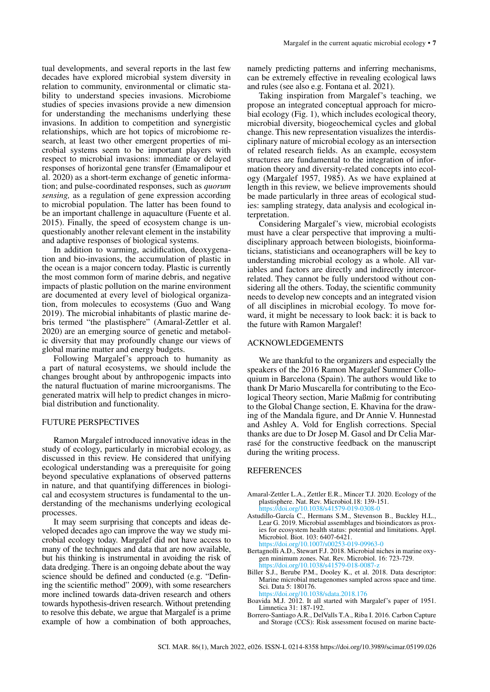tual developments, and several reports in the last few decades have explored microbial system diversity in relation to community, environmental or climatic stability to understand species invasions. Microbiome studies of species invasions provide a new dimension for understanding the mechanisms underlying these invasions. In addition to competition and synergistic relationships, which are hot topics of microbiome research, at least two other emergent properties of microbial systems seem to be important players with respect to microbial invasions: immediate or delayed responses of horizontal gene transfer (Emamalipour et al. 2020) as a short-term exchange of genetic information; and pulse-coordinated responses, such as *quorum sensing,* as a regulation of gene expression according to microbial population. The latter has been found to be an important challenge in aquaculture (Fuente et al. 2015). Finally, the speed of ecosystem change is unquestionably another relevant element in the instability and adaptive responses of biological systems.

In addition to warming, acidification, deoxygenation and bio-invasions, the accumulation of plastic in the ocean is a major concern today. Plastic is currently the most common form of marine debris, and negative impacts of plastic pollution on the marine environment are documented at every level of biological organization, from molecules to ecosystems (Guo and Wang 2019). The microbial inhabitants of plastic marine debris termed "the plastisphere" (Amaral-Zettler et al. 2020) are an emerging source of genetic and metabolic diversity that may profoundly change our views of global marine matter and energy budgets.

Following Margalef's approach to humanity as a part of natural ecosystems, we should include the changes brought about by anthropogenic impacts into the natural fluctuation of marine microorganisms. The generated matrix will help to predict changes in microbial distribution and functionality.

### FUTURE PERSPECTIVES

Ramon Margalef introduced innovative ideas in the study of ecology, particularly in microbial ecology, as discussed in this review. He considered that unifying ecological understanding was a prerequisite for going beyond speculative explanations of observed patterns in nature, and that quantifying differences in biological and ecosystem structures is fundamental to the understanding of the mechanisms underlying ecological processes.

It may seem surprising that concepts and ideas developed decades ago can improve the way we study microbial ecology today. Margalef did not have access to many of the techniques and data that are now available, but his thinking is instrumental in avoiding the risk of data dredging. There is an ongoing debate about the way science should be defined and conducted (e.g. "Defining the scientific method" 2009), with some researchers more inclined towards data-driven research and others towards hypothesis-driven research. Without pretending to resolve this debate, we argue that Margalef is a prime example of how a combination of both approaches,

namely predicting patterns and inferring mechanisms, can be extremely effective in revealing ecological laws and rules (see also e.g. Fontana et al. 2021).

Taking inspiration from Margalef's teaching, we propose an integrated conceptual approach for microbial ecology (Fig. 1), which includes ecological theory, microbial diversity, biogeochemical cycles and global change. This new representation visualizes the interdisciplinary nature of microbial ecology as an intersection of related research fields. As an example, ecosystem structures are fundamental to the integration of information theory and diversity-related concepts into ecology (Margalef 1957, 1985). As we have explained at length in this review, we believe improvements should be made particularly in three areas of ecological studies: sampling strategy, data analysis and ecological interpretation.

Considering Margalef's view, microbial ecologists must have a clear perspective that improving a multidisciplinary approach between biologists, bioinformaticians, statisticians and oceanographers will be key to understanding microbial ecology as a whole. All variables and factors are directly and indirectly intercorrelated. They cannot be fully understood without considering all the others. Today, the scientific community needs to develop new concepts and an integrated vision of all disciplines in microbial ecology. To move forward, it might be necessary to look back: it is back to the future with Ramon Margalef!

## ACKNOWLEDGEMENTS

We are thankful to the organizers and especially the speakers of the 2016 Ramon Margalef Summer Colloquium in Barcelona (Spain). The authors would like to thank Dr Mario Muscarella for contributing to the Ecological Theory section, Marie Maßmig for contributing to the Global Change section, E. Khavina for the drawing of the Mandala figure, and Dr Annie V. Hunnestad and Ashley A. Vold for English corrections. Special thanks are due to Dr Josep M. Gasol and Dr Celia Marrasé for the constructive feedback on the manuscript during the writing process.

#### **REFERENCES**

- Amaral-Zettler L.A., Zettler E.R., Mincer T.J. 2020. Ecology of the plastisphere. Nat. Rev. Microbiol.18: 139-151. <https://doi.org/10.1038/s41579-019-0308-0>
- Astudillo-García C., Hermans S.M., Stevenson B., Buckley H.L., Lear G. 2019. Microbial assemblages and bioindicators as proxies for ecosystem health status: potential and limitations. Appl. Microbiol. Biot. 103: 6407-6421. <https://doi.org/10.1007/s00253-019-09963-0>
- Bertagnolli A.D., Stewart F.J. 2018. Microbial niches in marine oxygen minimum zones. Nat. Rev. Microbiol. 16: 723-729. https://doi.org/10.1038/s4157
- Biller S.J., Berube P.M., Dooley K., et al. 2018. Data descriptor: Marine microbial metagenomes sampled across space and time. Sci. Data 5: 180176. <https://doi.org/10.1038/sdata.2018.176>
- Boavida M.J. 2012. It all started with Margalef's paper of 1951. Limnetica 31: 187-192.
- Borrero-Santiago A.R., DelValls T.A., Riba I. 2016. Carbon Capture and Storage (CCS): Risk assessment focused on marine bacte-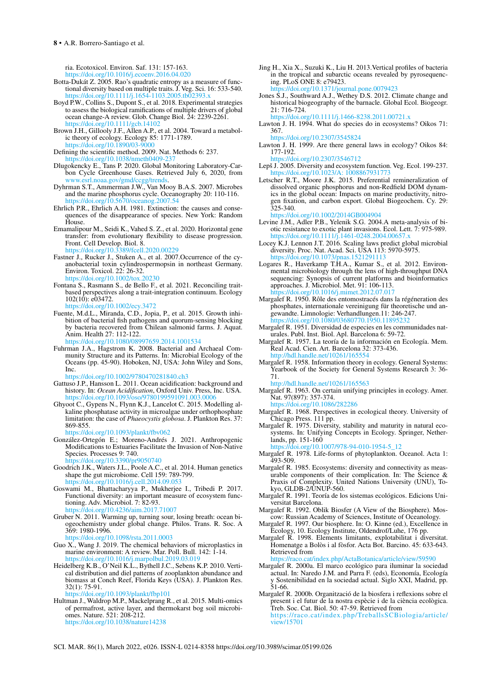ria. Ecotoxicol. Environ. Saf. 131: 157-163.

- <https://doi.org/10.1016/j.ecoenv.2016.04.020> Botta-Dukát Z. 2005. Rao's quadratic entropy as a measure of functional diversity based on multiple traits. J. Veg. Sci. 16: 533-540. https://doi.org/10.1111/j.1654-1103.2005.tb02393
- Boyd P.W., Collins S., Dupont S., et al. 2018. Experimental strategies to assess the biological ramifications of multiple drivers of global ocean change-A review. Glob. Change Biol. 24: 2239-2261. <https://doi.org/10.1111/gcb.14102>
- Brown J.H., Gillooly J.F., Allen A.P., et al. 2004. Toward a metabolic theory of ecology. Ecology 85: 1771-1789. https://doi.org/10.1890/03
- Defining the scientific method. 2009. Nat. Methods 6: 237. <https://doi.org/10.1038/nmeth0409-237>
- Dlugokencky E., Tans P. 2020. Global Monitoring Laboratory-Carbon Cycle Greenhouse Gases. Retrieved July 6, 2020, from rl.noaa.gov/gmd/ccgg/trends.
- Dyhrman S.T., Ammerman J.W., Van Mooy B.A.S. 2007. Microbes and the marine phosphorus cycle. Oceanography 20: 110-116. <https://doi.org/10.5670/oceanog.2007.54>
- Ehrlich P.R., Ehrlich A.H. 1981. Extinction: the causes and consequences of the disappearance of species. New York: Random House.
- Emamalipour M., Seidi K., Vahed S. Z., et al. 2020. Horizontal gene transfer: from evolutionary flexibility to disease progression. Front. Cell Develop. Biol. 8. <https://doi.org/10.3389/fcell.2020.00229>
- Fastner J., Rucker J., Stuken A., et al. 2007. Occurrence of the cyanobacterial toxin cylindrospermopsin in northeast Germany. Environ. Toxicol. 22: 26-32. <https://doi.org/10.1002/tox.20230>
- Fontana S., Rasmann S., de Bello F., et al. 2021. Reconciling traitbased perspectives along a trait-integration continuum. Ecology  $102(10)$ : e $03472$ . <https://doi.org/10.1002/ecy.3472>
- Fuente, M.d.L., Miranda, C.D., Jopia, P., et al. 2015. Growth inhibition of bacterial fish pathogens and quorum-sensing blocking by bacteria recovered from Chilean salmonid farms. J. Aquat. Anim. Health 27: 112-122.

<https://doi.org/10.1080/08997659.2014.1001534>

Fuhrman J.A., Hagstrom K. 2008. Bacterial and Archaeal Community Structure and its Patterns. In: Microbial Ecology of the Oceans (pp. 45-90). Hoboken, NJ, USA: John Wiley and Sons, Inc.

<https://doi.org/10.1002/9780470281840.ch3>

- Gattuso J.P., Hansson L. 2011. Ocean acidification: background and history. In: *Ocean Acidification*, Oxford Univ. Press, Inc. USA. /doi.org/10.1093/
- Ghyoot C., Gypens N., Flynn K.J., Lancelot C. 2015. Modelling alkaline phosphatase activity in microalgae under orthophosphate limitation: the case of *Phaeocystis globosa*. J. Plankton Res. 37: 869-855.
- <https://doi.org/10.1093/plankt/fbv062>
- González-Ortegón E.; Moreno-Andrés J. 2021. Anthropogenic Modifications to Estuaries Facilitate the Invasion of Non-Native Species. Processes 9: 740. ps://doi.org/10.3390/pr9050740
- Goodrich J.K., Waters J.L., Poole A.C., et al. 2014. Human genetics shape the gut microbiome. Cell 159: 789-799. <https://doi.org/10.1016/j.cell.2014.09.053>
- Goswami M., Bhattacharyya P., Mukherjee I., Tribedi P. 2017. Functional diversity: an important measure of ecosystem functioning. Adv. Microbiol. 7: 82-93. <https://doi.org/10.4236/aim.2017.71007>
- Gruber N. 2011. Warming up, turning sour, losing breath: ocean biogeochemistry under global change. Philos. Trans. R. Soc. A 369: 1980-1996.

<https://doi.org/10.1098/rsta.2011.0003>

- Guo X., Wang J. 2019. The chemical behaviors of microplastics in marine environment: A review. Mar. Poll. Bull. 142: 1-14. <https://doi.org/10.1016/j.marpolbul.2019.03.019>
- Heidelberg K.B., O'Neil K.L., Bythell J.C., Sebens K.P. 2010. Vertical distribution and diel patterns of zooplankton abundance and biomass at Conch Reef, Florida Keys (USA). J. Plankton Res. 32(1): 75-91.

<https://doi.org/10.1093/plankt/fbp101>

Hultman J., Waldrop M.P., Mackelprang R., et al. 2015. Multi-omics of permafrost, active layer, and thermokarst bog soil microbiomes. Nature. 521: 208-212. <https://doi.org/10.1038/nature14238>

Jing H., Xia X., Suzuki K., Liu H. 2013.Vertical profiles of bacteria in the tropical and subarctic oceans revealed by pyrosequencing. PLoS ONE 8: e79423.

<https://doi.org/10.1371/journal.pone.0079423>

- Jones S.J., Southward A.J., Wethey D.S. 2012. Climate change and historical biogeography of the barnacle. Global Ecol. Biogeogr. 21: 716-724. <https://doi.org/10.1111/j.1466-8238.2011.00721.x>
- Lawton J. H. 1994. What do species do in ecosystems? Oikos 71: 367.

<https://doi.org/10.2307/3545824>

Lawton J. H. 1999. Are there general laws in ecology? Oikos 84: 177-192.

<https://doi.org/10.2307/3546712> Lepš J. 2005. Diversity and ecosystem function. Veg. Ecol. 199-237.

[https://doi.org/10.1023/A: 1008867931773](https://doi.org/10.1023/A:1008867931773)

Letscher R.T., Moore J.K. 2015. Preferential remineralization of dissolved organic phosphorus and non-Redfield DOM dynamics in the global ocean: Impacts on marine productivity, nitrogen fixation, and carbon export. Global Biogeochem. Cy. 29: 325-340.

<https://doi.org/10.1002/2014GB004904>

Levine J.M., Adler P.B., Yelenik S.G. 2004.A meta-analysis of biotic resistance to exotic plant invasions. Ecol. Lett. 7: 975-989. <https://doi.org/10.1111/j.1461-0248.2004.00657.x>

- Locey K.J. Lennon J.T. 2016. Scaling laws predict global microbial diversity. Proc. Nat. Acad. Sci. USA 113: 5970-5975.<br>https://doi.org/10.1073/pnas.1521291113 https://doi.org/10.1073
- Logares R., Haverkamp T.H.A., Kumar S., et al. 2012. Environmental microbiology through the lens of high-throughput DNA sequencing: Synopsis of current platforms and bioinformatics approaches. J. Microbiol. Met. 91: 106-113. s://doi.org/10.1016/j.mimet.2012.07.01
- Margalef R. 1950. Rôle des entomostracés dans la régéneration des phosphates, internationale vereinigung für theoretische und angewandte. Limnologie: Verhandlungen.11: 246-247. https://doi.org/10.1080/03680770.1950.1189523

Margalef R. 1951. Diversidad de especies en les communidades naturales. Publ. Inst. Biol. Apl. Barcelona 6: 59-72.

- Margalef R. 1957. La teoría de la información en Ecología. Mem. Real Acad. Cien. Art. Barcelona 32: 373-436. <http://hdl.handle.net/10261/165554>
- Margalef R. 1958. Information theory in ecology. General Systems: Yearbook of the Society for General Systems Research 3: 36-71.

<http://hdl.handle.net/10261/165563>

Margalef R. 1963. On certain unifying principles in ecology. Amer. Nat. 97(897): 357-374. <https://doi.org/10.1086/282286>

Margalef R. 1968. Perspectives in ecological theory. University of Chicago Press. 111 pp.

Margalef R. 1975. Diversity, stability and maturity in natural ecosystems. In: Unifying Concepts in Ecology. Springer, Netherlands, pp. 151-160

doi.org/10.1007/978-94-010-1954-5\_12

Margalef R. 1978. Life-forms of phytoplankton. Oceanol. Acta 1: 493-509.

- Margalef R. 1985. Ecosystems: diversity and connectivity as measurable components of their complication. In: The Science & Praxis of Complexity. United Nations University (UNU), Tokyo, GLDB-2/UNUP-560.
- Margalef R. 1991. Teoría de los sistemas ecológicos. Edicions Universitat Barcelona.
- Margalef R. 1992. Oblik Biosfer (A View of the Biosphere). Moscow: Russian Academy of Sciences, Institute of Oceanology.
- Margalef R. 1997. Our biosphere. In: O. Kinne (ed.), Excellence in Ecology, 10. Ecology Institute, Oldendrof/Luhe, 176 pp.
- Margalef R. 1998. Elements limitants, explotabilitat i diversitat. Homenatge a Bolòs i al fòsfor. Acta Bot. Barcino. 45: 633-643. Retrieved from

<https://raco.cat/index.php/ActaBotanica/article/view/59590>

- Margalef R. 2000a. El marco ecológico para iluminar la sociedad actual. In: Naredo J.M. and Parra F. (eds), Economía, Ecología y Sostenibilidad en la sociedad actual. Siglo XXI, Madrid, pp. 51-66.
- Margalef R. 2000b. Organització de la biosfera i reflexions sobre el present i el futur de la nostra espècie i de la ciència ecològica. Treb. Soc. Cat. Biol. 50: 47-59. Retrieved from [https://raco.cat/index.php/TreballsSCBiologia/article/](https://raco.cat/index.php/TreballsSCBiologia/article/view/15701) [view/15701](https://raco.cat/index.php/TreballsSCBiologia/article/view/15701)